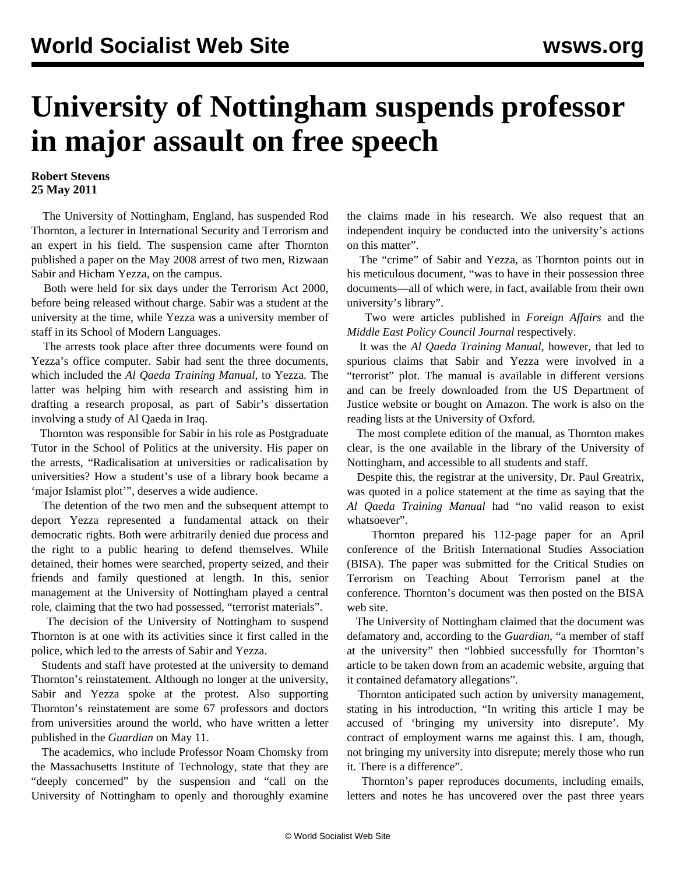## **University of Nottingham suspends professor in major assault on free speech**

## **Robert Stevens 25 May 2011**

 The University of Nottingham, England, has suspended Rod Thornton, a lecturer in International Security and Terrorism and an expert in his field. The suspension came after Thornton published a paper on the May 2008 arrest of two men, Rizwaan Sabir and Hicham Yezza, on the campus.

 Both were held for six days under the Terrorism Act 2000, before being released without charge. Sabir was a student at the university at the time, while Yezza was a university member of staff in its School of Modern Languages.

 The arrests took place after three documents were found on Yezza's office computer. Sabir had sent the three documents, which included the *Al Qaeda Training Manual*, to Yezza. The latter was helping him with research and assisting him in drafting a research proposal, as part of Sabir's dissertation involving a study of Al Qaeda in Iraq.

 Thornton was responsible for Sabir in his role as Postgraduate Tutor in the School of Politics at the university. His paper on the arrests, "Radicalisation at universities or radicalisation by universities? How a student's use of a library book became a 'major Islamist plot'", deserves a wide audience.

 The detention of the two men and the subsequent attempt to deport Yezza represented a fundamental attack on their democratic rights. Both were arbitrarily denied due process and the right to a public hearing to defend themselves. While detained, their homes were searched, property seized, and their friends and family questioned at length. In this, senior management at the University of Nottingham played a central role, claiming that the two had possessed, "terrorist materials".

 The decision of the University of Nottingham to suspend Thornton is at one with its activities since it first called in the police, which led to the arrests of Sabir and Yezza.

 Students and staff have protested at the university to demand Thornton's reinstatement. Although no longer at the university, Sabir and Yezza spoke at the protest. Also supporting Thornton's reinstatement are some 67 professors and doctors from universities around the world, who have written a letter published in the *Guardian* on May 11.

 The academics, who include Professor Noam Chomsky from the Massachusetts Institute of Technology, state that they are "deeply concerned" by the suspension and "call on the University of Nottingham to openly and thoroughly examine the claims made in his research. We also request that an independent inquiry be conducted into the university's actions on this matter".

 The "crime" of Sabir and Yezza, as Thornton points out in his meticulous document, "was to have in their possession three documents—all of which were, in fact, available from their own university's library".

 Two were articles published in *Foreign Affairs* and the *Middle East Policy Council Journal* respectively.

 It was the *Al Qaeda Training Manual*, however, that led to spurious claims that Sabir and Yezza were involved in a "terrorist" plot. The manual is available in different versions and can be freely downloaded from the US Department of Justice website or bought on Amazon. The work is also on the reading lists at the University of Oxford.

 The most complete edition of the manual, as Thornton makes clear, is the one available in the library of the University of Nottingham, and accessible to all students and staff.

 Despite this, the registrar at the university, Dr. Paul Greatrix, was quoted in a police statement at the time as saying that the *Al Qaeda Training Manual* had "no valid reason to exist whatsoever".

 Thornton prepared his 112-page paper for an April conference of the British International Studies Association (BISA). The paper was submitted for the Critical Studies on Terrorism on Teaching About Terrorism panel at the conference. Thornton's document was then posted on the BISA web site.

 The University of Nottingham claimed that the document was defamatory and, according to the *Guardian*, "a member of staff at the university" then "lobbied successfully for Thornton's article to be taken down from an academic website, arguing that it contained defamatory allegations".

 Thornton anticipated such action by university management, stating in his introduction, "In writing this article I may be accused of 'bringing my university into disrepute'. My contract of employment warns me against this. I am, though, not bringing my university into disrepute; merely those who run it. There is a difference".

 Thornton's paper reproduces documents, including emails, letters and notes he has uncovered over the past three years